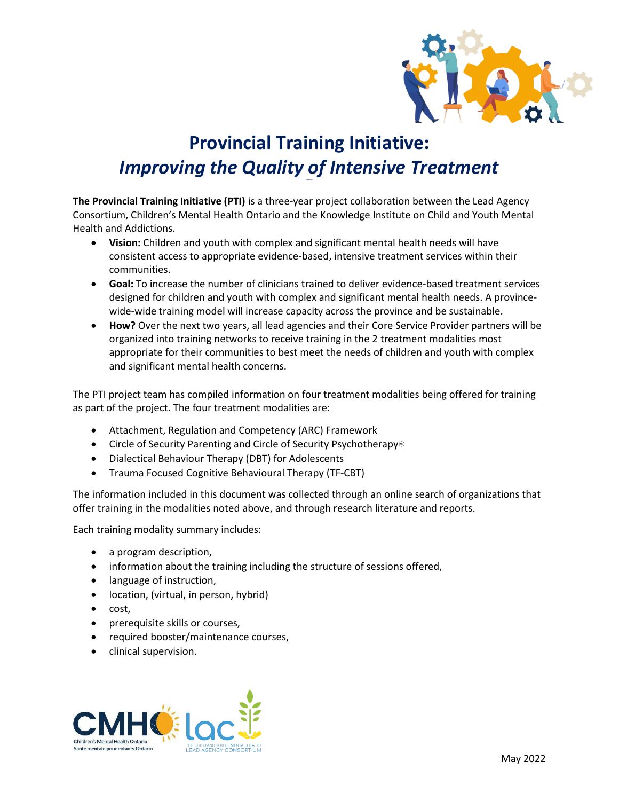

# **Provincial Training Initiative:** *Improving the Quality of Intensive Treatment*

**The Provincial Training Initiative (PTI)** is a three-year project collaboration between the Lead Agency Consortium, Children's Mental Health Ontario and the Knowledge Institute on Child and Youth Mental Health and Addictions.

- **Vision:** Children and youth with complex and significant mental health needs will have consistent access to appropriate evidence-based, intensive treatment services within their communities.
- **Goal:** To increase the number of clinicians trained to deliver evidence-based treatment services designed for children and youth with complex and significant mental health needs. A provincewide-wide training model will increase capacity across the province and be sustainable.
- **How?** Over the next two years, all lead agencies and their Core Service Provider partners will be organized into training networks to receive training in the 2 treatment modalities most appropriate for their communities to best meet the needs of children and youth with complex and significant mental health concerns.

The PTI project team has compiled information on four treatment modalities being offered for training as part of the project. The four treatment modalities are:

- Attachment, Regulation and Competency (ARC) Framework
- Circle of Security Parenting and Circle of Security Psychotherapy<sup>®</sup>
- Dialectical Behaviour Therapy (DBT) for Adolescents
- Trauma Focused Cognitive Behavioural Therapy (TF-CBT)

The information included in this document was collected through an online search of organizations that offer training in the modalities noted above, and through research literature and reports.

Each training modality summary includes:

- a program description,
- information about the training including the structure of sessions offered,
- language of instruction,
- location, (virtual, in person, hybrid)
- cost,
- prerequisite skills or courses,
- required booster/maintenance courses,
- clinical supervision.

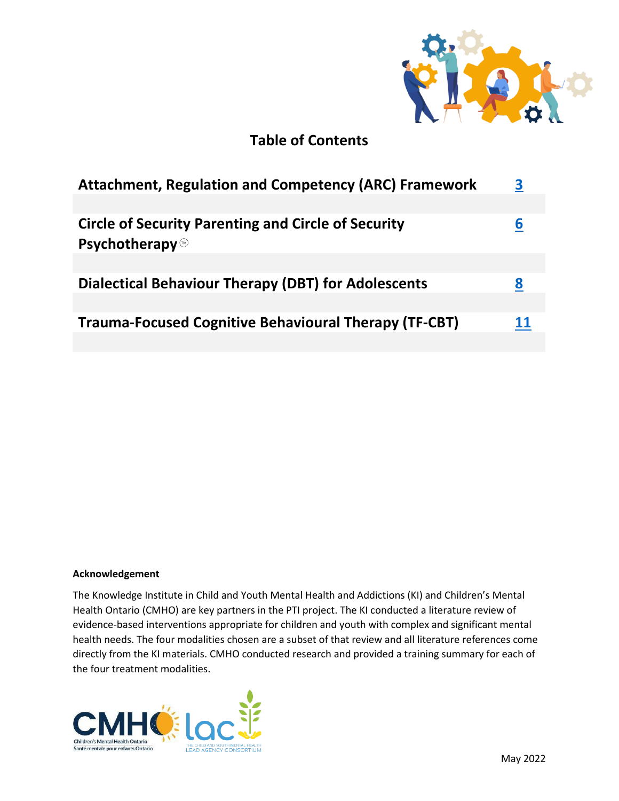

# **Table of Contents**

| <b>Attachment, Regulation and Competency (ARC) Framework</b>                       | 3  |
|------------------------------------------------------------------------------------|----|
|                                                                                    |    |
| <b>Circle of Security Parenting and Circle of Security</b><br><b>Psychotherapy</b> | ь  |
|                                                                                    |    |
| Dialectical Behaviour Therapy (DBT) for Adolescents                                | 8  |
|                                                                                    |    |
| <b>Trauma-Focused Cognitive Behavioural Therapy (TF-CBT)</b>                       | 11 |

# **Acknowledgement**

The Knowledge Institute in Child and Youth Mental Health and Addictions (KI) and Children's Mental Health Ontario (CMHO) are key partners in the PTI project. The KI conducted a literature review of evidence-based interventions appropriate for children and youth with complex and significant mental health needs. The four modalities chosen are a subset of that review and all literature references come directly from the KI materials. CMHO conducted research and provided a training summary for each of the four treatment modalities.

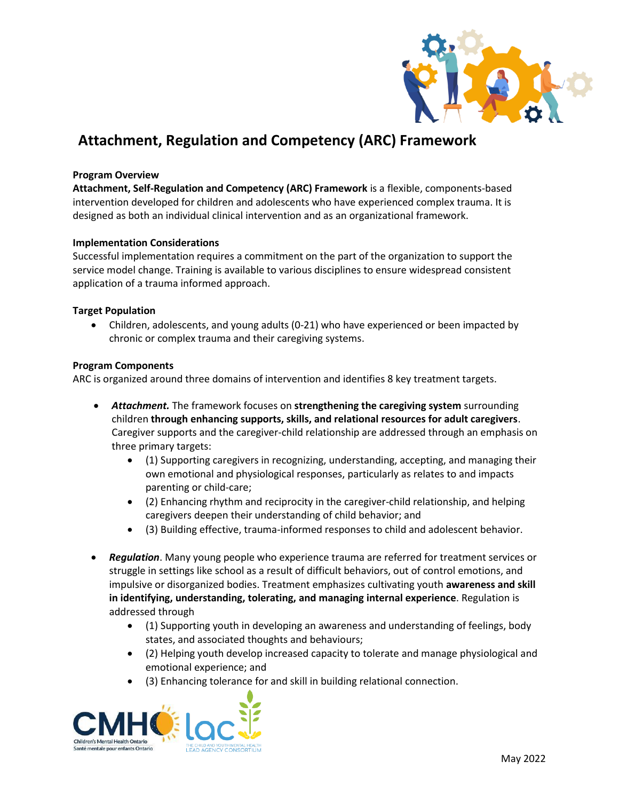

# <span id="page-2-0"></span>**Attachment, Regulation and Competency (ARC) Framework**

### **Program Overview**

**Attachment, Self-Regulation and Competency (ARC) Framework** is a flexible, components-based intervention developed for children and adolescents who have experienced complex trauma. It is designed as both an individual clinical intervention and as an organizational framework.

#### **Implementation Considerations**

Successful implementation requires a commitment on the part of the organization to support the service model change. Training is available to various disciplines to ensure widespread consistent application of a trauma informed approach.

# **Target Population**

• Children, adolescents, and young adults (0-21) who have experienced or been impacted by chronic or complex trauma and their caregiving systems.

# **Program Components**

ARC is organized around three domains of intervention and identifies 8 key treatment targets.

- *Attachment.* The framework focuses on **strengthening the caregiving system** surrounding children **through enhancing supports, skills, and relational resources for adult caregivers**. Caregiver supports and the caregiver-child relationship are addressed through an emphasis on three primary targets:
	- (1) Supporting caregivers in recognizing, understanding, accepting, and managing their own emotional and physiological responses, particularly as relates to and impacts parenting or child-care;
	- (2) Enhancing rhythm and reciprocity in the caregiver-child relationship, and helping caregivers deepen their understanding of child behavior; and
	- (3) Building effective, trauma-informed responses to child and adolescent behavior.
- *Regulation*. Many young people who experience trauma are referred for treatment services or struggle in settings like school as a result of difficult behaviors, out of control emotions, and impulsive or disorganized bodies. Treatment emphasizes cultivating youth **awareness and skill in identifying, understanding, tolerating, and managing internal experience**. Regulation is addressed through
	- (1) Supporting youth in developing an awareness and understanding of feelings, body states, and associated thoughts and behaviours;
	- (2) Helping youth develop increased capacity to tolerate and manage physiological and emotional experience; and
	- (3) Enhancing tolerance for and skill in building relational connection.

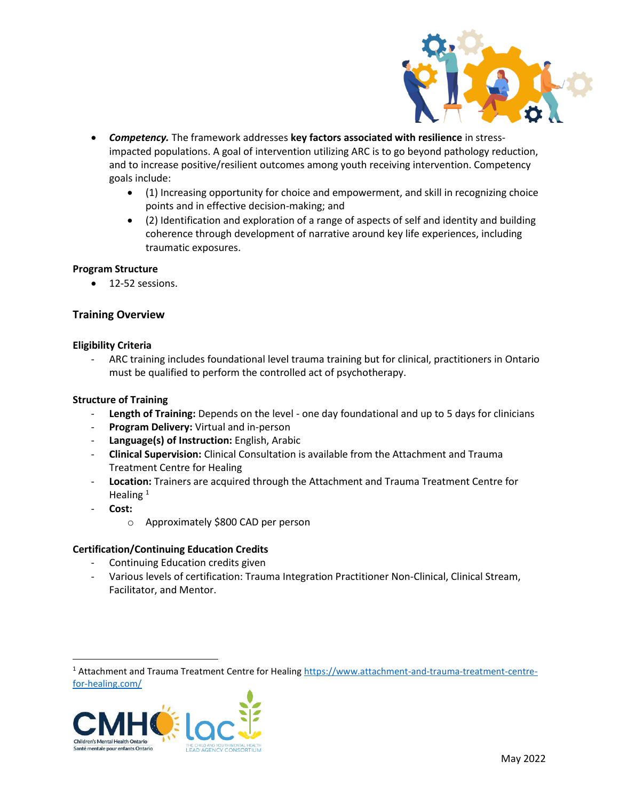

- *Competency.* The framework addresses **key factors associated with resilience** in stressimpacted populations. A goal of intervention utilizing ARC is to go beyond pathology reduction, and to increase positive/resilient outcomes among youth receiving intervention. Competency goals include:
	- (1) Increasing opportunity for choice and empowerment, and skill in recognizing choice points and in effective decision-making; and
	- (2) Identification and exploration of a range of aspects of self and identity and building coherence through development of narrative around key life experiences, including traumatic exposures.

# **Program Structure**

• 12-52 sessions.

# **Training Overview**

# **Eligibility Criteria**

- ARC training includes foundational level trauma training but for clinical, practitioners in Ontario must be qualified to perform the controlled act of psychotherapy.

# **Structure of Training**

- **Length of Training:** Depends on the level one day foundational and up to 5 days for clinicians
- Program Delivery: Virtual and in-person
- **Language(s) of Instruction:** English, Arabic
- **Clinical Supervision:** Clinical Consultation is available from the Attachment and Trauma Treatment Centre for Healing
- **Location:** Trainers are acquired through the Attachment and Trauma Treatment Centre for Healing $1$
- **Cost:** 
	- o Approximately \$800 CAD per person

# **Certification/Continuing Education Credits**

- Continuing Education credits given
- Various levels of certification: Trauma Integration Practitioner Non-Clinical, Clinical Stream, Facilitator, and Mentor.

<sup>1</sup> Attachment and Trauma Treatment Centre for Healing [https://www.attachment-and-trauma-treatment-centre](https://www.attachment-and-trauma-treatment-centre-for-healing.com/)[for-healing.com/](https://www.attachment-and-trauma-treatment-centre-for-healing.com/)

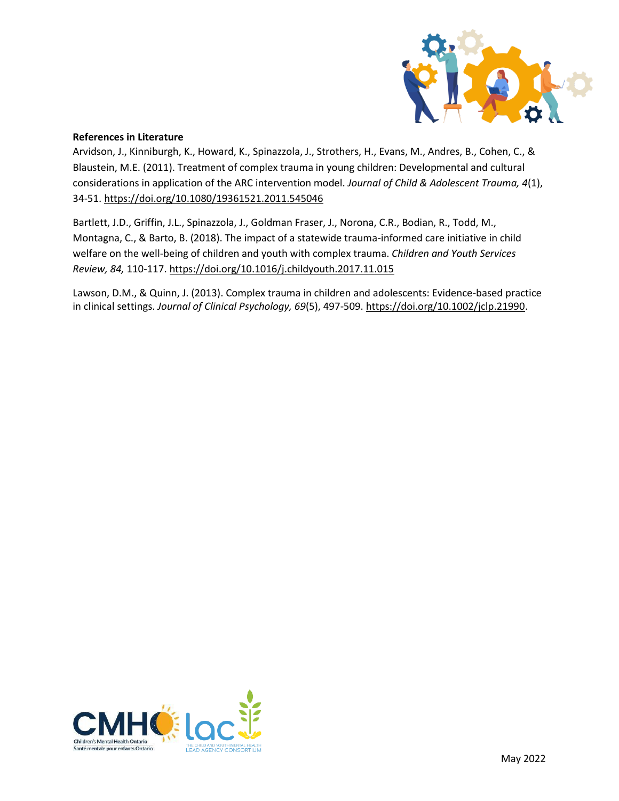

# **References in Literature**

Arvidson, J., Kinniburgh, K., Howard, K., Spinazzola, J., Strothers, H., Evans, M., Andres, B., Cohen, C., & Blaustein, M.E. (2011). Treatment of complex trauma in young children: Developmental and cultural considerations in application of the ARC intervention model. *Journal of Child & Adolescent Trauma, 4*(1), 34-51.<https://doi.org/10.1080/19361521.2011.545046>

Bartlett, J.D., Griffin, J.L., Spinazzola, J., Goldman Fraser, J., Norona, C.R., Bodian, R., Todd, M., Montagna, C., & Barto, B. (2018). The impact of a statewide trauma-informed care initiative in child welfare on the well-being of children and youth with complex trauma. *Children and Youth Services Review, 84,* 110-117[. https://doi.org/10.1016/j.childyouth.2017.11.015](https://doi.org/10.1016/j.childyouth.2017.11.015)

Lawson, D.M., & Quinn, J. (2013). Complex trauma in children and adolescents: Evidence-based practice in clinical settings. *Journal of Clinical Psychology, 69*(5), 497-509. [https://doi.org/10.1002/jclp.21990.](https://doi.org/10.1002/jclp.21990)

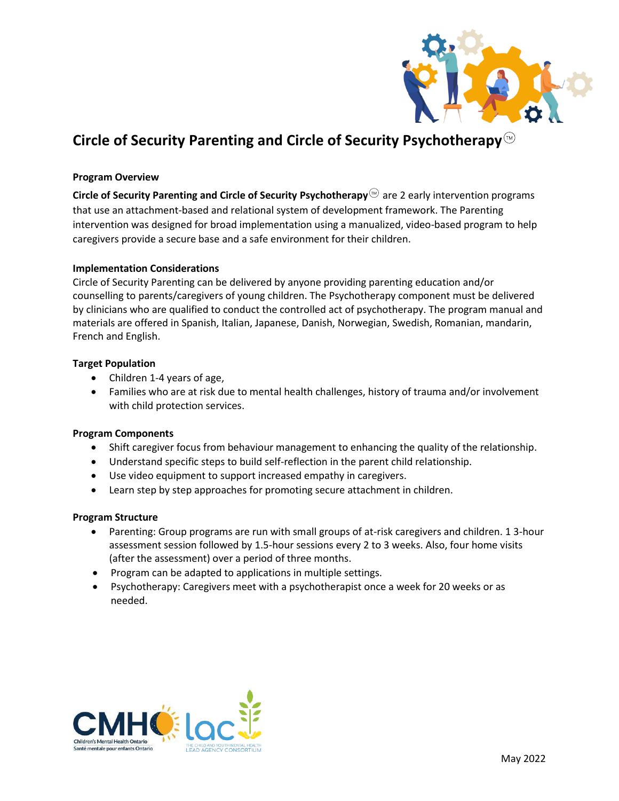

# <span id="page-5-0"></span>**Circle of Security Parenting and Circle of Security Psychotherapy**

# **Program Overview**

**Circle of Security Parenting and Circle of Security Psychotherapy** are 2 early intervention programs that use an attachment-based and relational system of development framework. The Parenting intervention was designed for broad implementation using a manualized, video-based program to help caregivers provide a secure base and a safe environment for their children.

#### **Implementation Considerations**

Circle of Security Parenting can be delivered by anyone providing parenting education and/or counselling to parents/caregivers of young children. The Psychotherapy component must be delivered by clinicians who are qualified to conduct the controlled act of psychotherapy. The program manual and materials are offered in Spanish, Italian, Japanese, Danish, Norwegian, Swedish, Romanian, mandarin, French and English.

#### **Target Population**

- Children 1-4 years of age,
- Families who are at risk due to mental health challenges, history of trauma and/or involvement with child protection services.

#### **Program Components**

- Shift caregiver focus from behaviour management to enhancing the quality of the relationship.
- Understand specific steps to build self-reflection in the parent child relationship.
- Use video equipment to support increased empathy in caregivers.
- Learn step by step approaches for promoting secure attachment in children.

#### **Program Structure**

- Parenting: Group programs are run with small groups of at-risk caregivers and children. 1 3-hour assessment session followed by 1.5-hour sessions every 2 to 3 weeks. Also, four home visits (after the assessment) over a period of three months.
- Program can be adapted to applications in multiple settings.
- Psychotherapy: Caregivers meet with a psychotherapist once a week for 20 weeks or as needed.

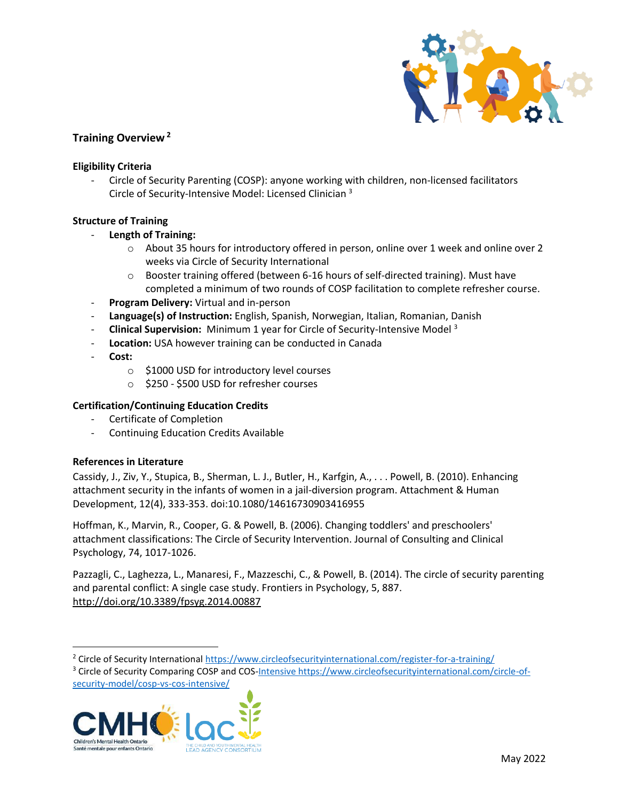

# **Training Overview <sup>2</sup>**

# **Eligibility Criteria**

- Circle of Security Parenting (COSP): anyone working with children, non-licensed facilitators Circle of Security-Intensive Model: Licensed Clinician <sup>3</sup>

# **Structure of Training**

- **Length of Training:**
	- $\circ$  About 35 hours for introductory offered in person, online over 1 week and online over 2 weeks via Circle of Security International
	- o Booster training offered (between 6-16 hours of self-directed training). Must have completed a minimum of two rounds of COSP facilitation to complete refresher course.
- Program Delivery: Virtual and in-person
- **Language(s) of Instruction:** English, Spanish, Norwegian, Italian, Romanian, Danish
- **Clinical Supervision:** Minimum 1 year for Circle of Security-Intensive Model <sup>3</sup>
- **Location:** USA however training can be conducted in Canada
- **Cost:** 
	- o \$1000 USD for introductory level courses
	- o \$250 \$500 USD for refresher courses

# **Certification/Continuing Education Credits**

- Certificate of Completion
- Continuing Education Credits Available

# **References in Literature**

Cassidy, J., Ziv, Y., Stupica, B., Sherman, L. J., Butler, H., Karfgin, A., . . . Powell, B. (2010). Enhancing attachment security in the infants of women in a jail-diversion program. Attachment & Human Development, 12(4), 333-353. doi:10.1080/14616730903416955

Hoffman, K., Marvin, R., Cooper, G. & Powell, B. (2006). Changing toddlers' and preschoolers' attachment classifications: The Circle of Security Intervention. Journal of Consulting and Clinical Psychology, 74, 1017-1026.

Pazzagli, C., Laghezza, L., Manaresi, F., Mazzeschi, C., & Powell, B. (2014). The circle of security parenting and parental conflict: A single case study. Frontiers in Psychology, 5, 887. <http://doi.org/10.3389/fpsyg.2014.00887>

<sup>2</sup> Circle of Security International<https://www.circleofsecurityinternational.com/register-for-a-training/>

<sup>3</sup> Circle of Security Comparing COSP and COS[-Intensive https://www.circleofsecurityinternational.com/circle-of-](Intensive%20https:/www.circleofsecurityinternational.com/circle-of-security-model/cosp-vs-cos-intensive/)

[security-model/cosp-vs-cos-intensive/](Intensive%20https:/www.circleofsecurityinternational.com/circle-of-security-model/cosp-vs-cos-intensive/)

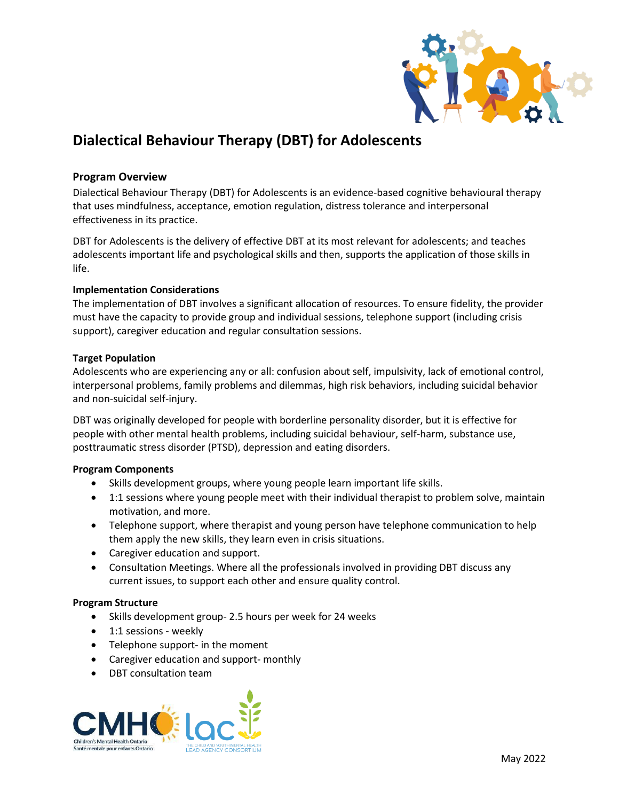

# <span id="page-7-0"></span>**Dialectical Behaviour Therapy (DBT) for Adolescents**

# **Program Overview**

Dialectical Behaviour Therapy (DBT) for Adolescents is an evidence-based cognitive behavioural therapy that uses mindfulness, acceptance, emotion regulation, distress tolerance and interpersonal effectiveness in its practice.

DBT for Adolescents is the delivery of effective DBT at its most relevant for adolescents; and teaches adolescents important life and psychological skills and then, supports the application of those skills in life.

# **Implementation Considerations**

The implementation of DBT involves a significant allocation of resources. To ensure fidelity, the provider must have the capacity to provide group and individual sessions, telephone support (including crisis support), caregiver education and regular consultation sessions.

# **Target Population**

Adolescents who are experiencing any or all: confusion about self, impulsivity, lack of emotional control, interpersonal problems, family problems and dilemmas, high risk behaviors, including suicidal behavior and non-suicidal self-injury.

DBT was originally developed for people with borderline personality disorder, but it is effective for people with other mental health problems, including suicidal behaviour, self-harm, substance use, posttraumatic stress disorder (PTSD), depression and eating disorders.

# **Program Components**

- Skills development groups, where young people learn important life skills.
- 1:1 sessions where young people meet with their individual therapist to problem solve, maintain motivation, and more.
- Telephone support, where therapist and young person have telephone communication to help them apply the new skills, they learn even in crisis situations.
- Caregiver education and support.
- Consultation Meetings. Where all the professionals involved in providing DBT discuss any current issues, to support each other and ensure quality control.

#### **Program Structure**

- Skills development group- 2.5 hours per week for 24 weeks
- 1:1 sessions weekly
- Telephone support- in the moment
- Caregiver education and support- monthly
- DBT consultation team

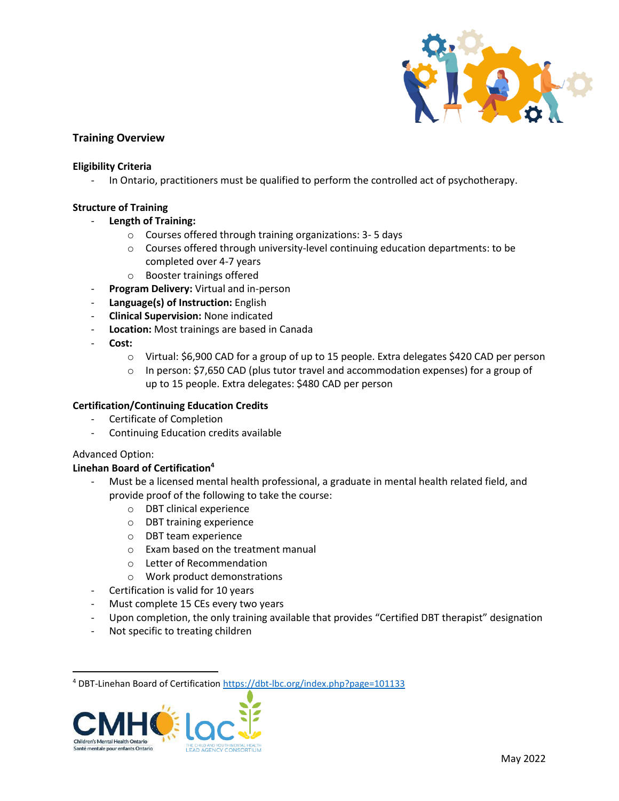

# **Training Overview**

# **Eligibility Criteria**

In Ontario, practitioners must be qualified to perform the controlled act of psychotherapy.

# **Structure of Training**

- **Length of Training:** 
	- o Courses offered through training organizations: 3- 5 days
	- $\circ$  Courses offered through university-level continuing education departments: to be completed over 4-7 years
	- o Booster trainings offered
- **Program Delivery:** Virtual and in-person
- **Language(s) of Instruction:** English
- **Clinical Supervision:** None indicated
- **Location:** Most trainings are based in Canada
- **Cost:** 
	- o Virtual: \$6,900 CAD for a group of up to 15 people. Extra delegates \$420 CAD per person
	- $\circ$  In person: \$7,650 CAD (plus tutor travel and accommodation expenses) for a group of up to 15 people. Extra delegates: \$480 CAD per person

# **Certification/Continuing Education Credits**

- Certificate of Completion
- Continuing Education credits available

#### Advanced Option:

# **Linehan Board of Certification<sup>4</sup>**

- Must be a licensed mental health professional, a graduate in mental health related field, and provide proof of the following to take the course:
	- o DBT clinical experience
	- o DBT training experience
	- o DBT team experience
	- o Exam based on the treatment manual
	- o Letter of Recommendation
	- o Work product demonstrations
- Certification is valid for 10 years
- Must complete 15 CEs every two years
- Upon completion, the only training available that provides "Certified DBT therapist" designation
- Not specific to treating children

<sup>&</sup>lt;sup>4</sup> DBT-Linehan Board of Certificatio[n https://dbt-lbc.org/index.php?page=101133](https://dbt-lbc.org/index.php?page=101133)

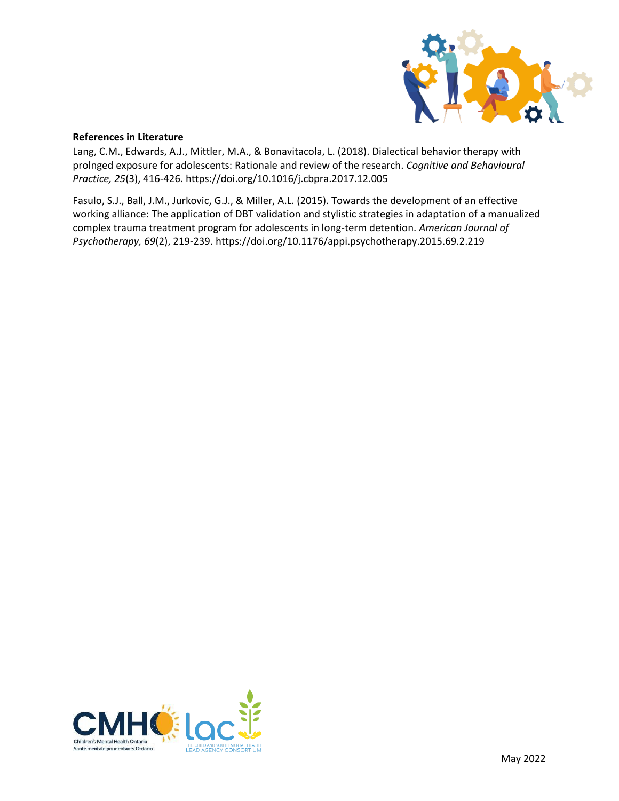

# **References in Literature**

Lang, C.M., Edwards, A.J., Mittler, M.A., & Bonavitacola, L. (2018). Dialectical behavior therapy with prolnged exposure for adolescents: Rationale and review of the research. *Cognitive and Behavioural Practice, 25*(3), 416-426[. https://doi.org/10.1016/j.cbpra.2017.12.005](https://doi.org/10.1016/j.cbpra.2017.12.005)

Fasulo, S.J., Ball, J.M., Jurkovic, G.J., & Miller, A.L. (2015). Towards the development of an effective working alliance: The application of DBT validation and stylistic strategies in adaptation of a manualized complex trauma treatment program for adolescents in long-term detention. *American Journal of Psychotherapy, 69*(2), 219-239.<https://doi.org/10.1176/appi.psychotherapy.2015.69.2.219>

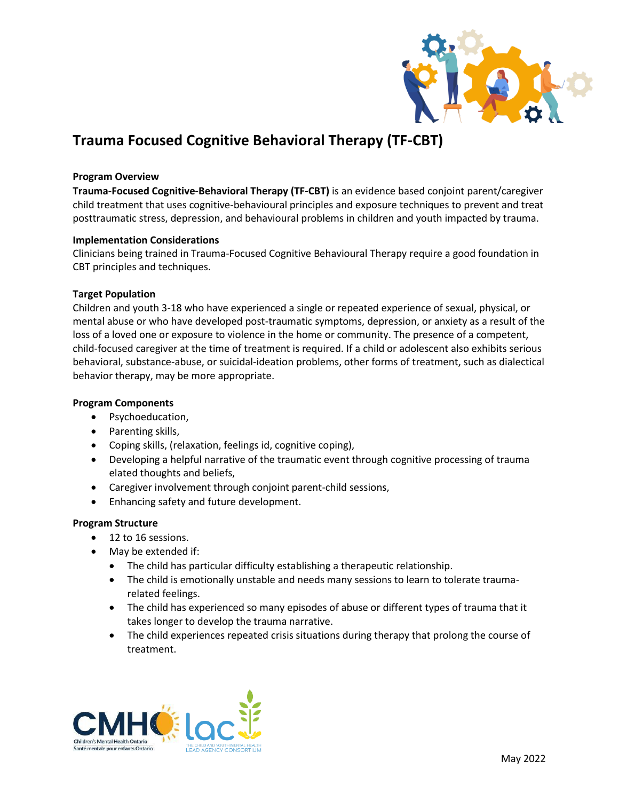

# <span id="page-10-0"></span>**Trauma Focused Cognitive Behavioral Therapy (TF-CBT)**

# **Program Overview**

**Trauma-Focused Cognitive-Behavioral Therapy (TF-CBT)** is an evidence based conjoint parent/caregiver child treatment that uses cognitive-behavioural principles and exposure techniques to prevent and treat posttraumatic stress, depression, and behavioural problems in children and youth impacted by trauma.

# **Implementation Considerations**

Clinicians being trained in Trauma-Focused Cognitive Behavioural Therapy require a good foundation in CBT principles and techniques.

# **Target Population**

Children and youth 3-18 who have experienced a single or repeated experience of sexual, physical, or mental abuse or who have developed post[-traumatic](https://www.psychologytoday.com/us/basics/trauma) symptoms, [depression,](https://www.psychologytoday.com/us/basics/depression) o[r anxiety](https://www.psychologytoday.com/us/basics/anxiety) as a result of the loss of a loved one or exposure to violence in the home or community. The presence of a competent, child-focused caregiver at the time of treatment is required. If a child or adolescent also exhibits serious behavioral, substance-abuse, or [suicidal-](https://www.psychologytoday.com/us/basics/suicide)ideation problems, other forms of treatment, such as dialectical behavior therapy, may be more appropriate.

### **Program Components**

- Psychoeducation,
- Parenting skills,
- Coping skills, (relaxation, feelings id, cognitive coping),
- Developing a helpful narrative of the traumatic event through cognitive processing of trauma elated thoughts and beliefs,
- Caregiver involvement through conjoint parent-child sessions,
- Enhancing safety and future development.

# **Program Structure**

- 12 to 16 sessions.
- May be extended if:
	- The child has particular difficulty establishing a therapeutic relationship.
	- The child is emotionally unstable and needs many sessions to learn to tolerate traumarelated feelings.
	- The child has experienced so many episodes of abuse or different types of trauma that it takes longer to develop the trauma narrative.
	- The child experiences repeated crisis situations during therapy that prolong the course of treatment.